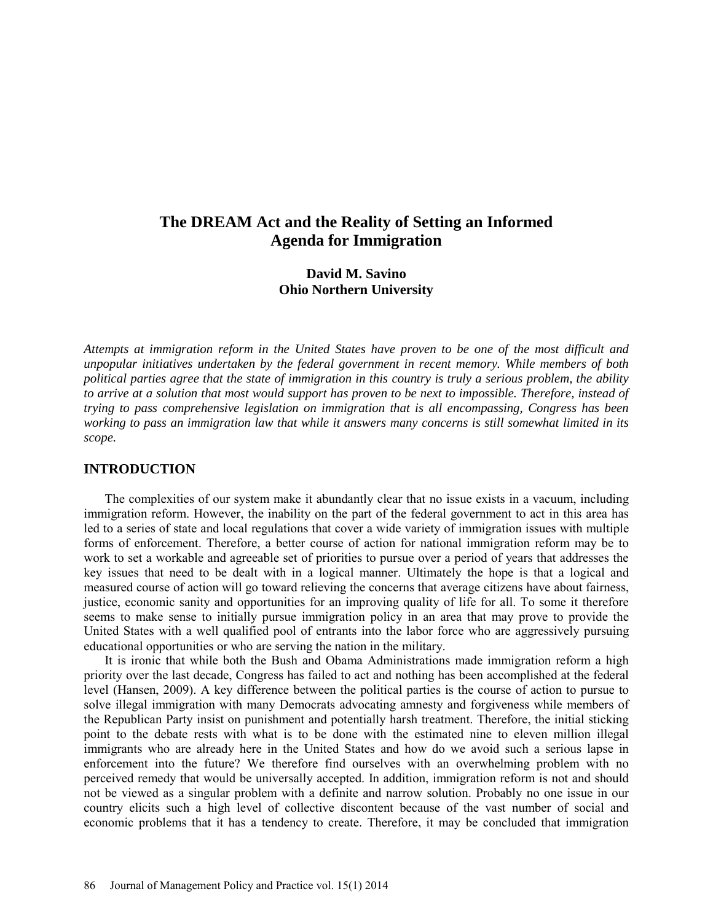# **The DREAM Act and the Reality of Setting an Informed Agenda for Immigration**

## **David M. Savino Ohio Northern University**

*Attempts at immigration reform in the United States have proven to be one of the most difficult and unpopular initiatives undertaken by the federal government in recent memory. While members of both political parties agree that the state of immigration in this country is truly a serious problem, the ability to arrive at a solution that most would support has proven to be next to impossible. Therefore, instead of trying to pass comprehensive legislation on immigration that is all encompassing, Congress has been working to pass an immigration law that while it answers many concerns is still somewhat limited in its scope.*

## **INTRODUCTION**

The complexities of our system make it abundantly clear that no issue exists in a vacuum, including immigration reform. However, the inability on the part of the federal government to act in this area has led to a series of state and local regulations that cover a wide variety of immigration issues with multiple forms of enforcement. Therefore, a better course of action for national immigration reform may be to work to set a workable and agreeable set of priorities to pursue over a period of years that addresses the key issues that need to be dealt with in a logical manner. Ultimately the hope is that a logical and measured course of action will go toward relieving the concerns that average citizens have about fairness, justice, economic sanity and opportunities for an improving quality of life for all. To some it therefore seems to make sense to initially pursue immigration policy in an area that may prove to provide the United States with a well qualified pool of entrants into the labor force who are aggressively pursuing educational opportunities or who are serving the nation in the military.

It is ironic that while both the Bush and Obama Administrations made immigration reform a high priority over the last decade, Congress has failed to act and nothing has been accomplished at the federal level (Hansen, 2009). A key difference between the political parties is the course of action to pursue to solve illegal immigration with many Democrats advocating amnesty and forgiveness while members of the Republican Party insist on punishment and potentially harsh treatment. Therefore, the initial sticking point to the debate rests with what is to be done with the estimated nine to eleven million illegal immigrants who are already here in the United States and how do we avoid such a serious lapse in enforcement into the future? We therefore find ourselves with an overwhelming problem with no perceived remedy that would be universally accepted. In addition, immigration reform is not and should not be viewed as a singular problem with a definite and narrow solution. Probably no one issue in our country elicits such a high level of collective discontent because of the vast number of social and economic problems that it has a tendency to create. Therefore, it may be concluded that immigration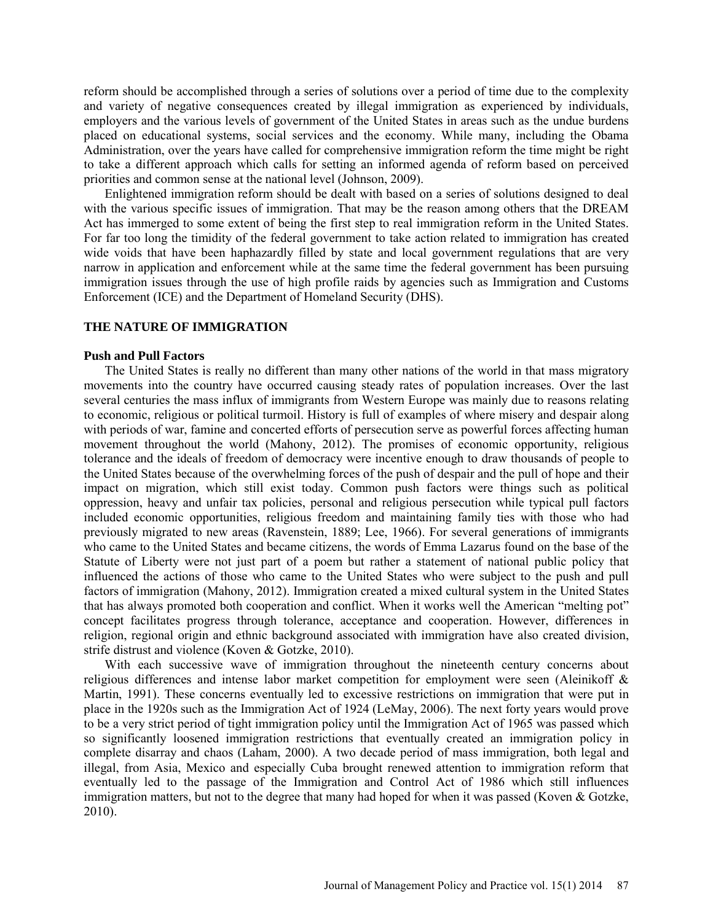reform should be accomplished through a series of solutions over a period of time due to the complexity and variety of negative consequences created by illegal immigration as experienced by individuals, employers and the various levels of government of the United States in areas such as the undue burdens placed on educational systems, social services and the economy. While many, including the Obama Administration, over the years have called for comprehensive immigration reform the time might be right to take a different approach which calls for setting an informed agenda of reform based on perceived priorities and common sense at the national level (Johnson, 2009).

Enlightened immigration reform should be dealt with based on a series of solutions designed to deal with the various specific issues of immigration. That may be the reason among others that the DREAM Act has immerged to some extent of being the first step to real immigration reform in the United States. For far too long the timidity of the federal government to take action related to immigration has created wide voids that have been haphazardly filled by state and local government regulations that are very narrow in application and enforcement while at the same time the federal government has been pursuing immigration issues through the use of high profile raids by agencies such as Immigration and Customs Enforcement (ICE) and the Department of Homeland Security (DHS).

## **THE NATURE OF IMMIGRATION**

## **Push and Pull Factors**

The United States is really no different than many other nations of the world in that mass migratory movements into the country have occurred causing steady rates of population increases. Over the last several centuries the mass influx of immigrants from Western Europe was mainly due to reasons relating to economic, religious or political turmoil. History is full of examples of where misery and despair along with periods of war, famine and concerted efforts of persecution serve as powerful forces affecting human movement throughout the world (Mahony, 2012). The promises of economic opportunity, religious tolerance and the ideals of freedom of democracy were incentive enough to draw thousands of people to the United States because of the overwhelming forces of the push of despair and the pull of hope and their impact on migration, which still exist today. Common push factors were things such as political oppression, heavy and unfair tax policies, personal and religious persecution while typical pull factors included economic opportunities, religious freedom and maintaining family ties with those who had previously migrated to new areas (Ravenstein, 1889; Lee, 1966). For several generations of immigrants who came to the United States and became citizens, the words of Emma Lazarus found on the base of the Statute of Liberty were not just part of a poem but rather a statement of national public policy that influenced the actions of those who came to the United States who were subject to the push and pull factors of immigration (Mahony, 2012). Immigration created a mixed cultural system in the United States that has always promoted both cooperation and conflict. When it works well the American "melting pot" concept facilitates progress through tolerance, acceptance and cooperation. However, differences in religion, regional origin and ethnic background associated with immigration have also created division, strife distrust and violence (Koven & Gotzke, 2010).

With each successive wave of immigration throughout the nineteenth century concerns about religious differences and intense labor market competition for employment were seen (Aleinikoff & Martin, 1991). These concerns eventually led to excessive restrictions on immigration that were put in place in the 1920s such as the Immigration Act of 1924 (LeMay, 2006). The next forty years would prove to be a very strict period of tight immigration policy until the Immigration Act of 1965 was passed which so significantly loosened immigration restrictions that eventually created an immigration policy in complete disarray and chaos (Laham, 2000). A two decade period of mass immigration, both legal and illegal, from Asia, Mexico and especially Cuba brought renewed attention to immigration reform that eventually led to the passage of the Immigration and Control Act of 1986 which still influences immigration matters, but not to the degree that many had hoped for when it was passed (Koven & Gotzke, 2010).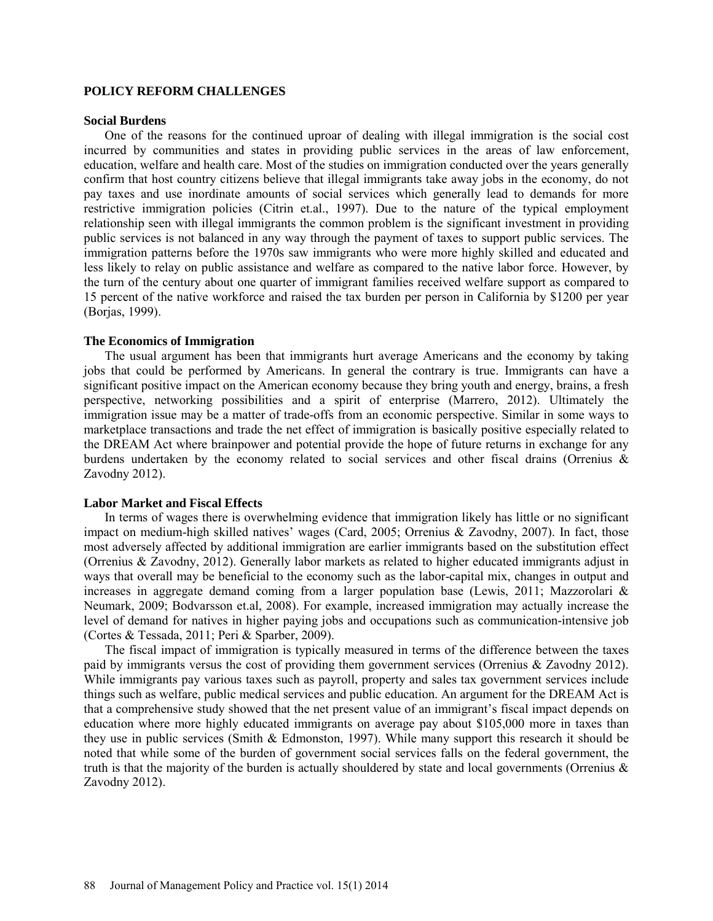## **POLICY REFORM CHALLENGES**

#### **Social Burdens**

One of the reasons for the continued uproar of dealing with illegal immigration is the social cost incurred by communities and states in providing public services in the areas of law enforcement, education, welfare and health care. Most of the studies on immigration conducted over the years generally confirm that host country citizens believe that illegal immigrants take away jobs in the economy, do not pay taxes and use inordinate amounts of social services which generally lead to demands for more restrictive immigration policies (Citrin et.al., 1997). Due to the nature of the typical employment relationship seen with illegal immigrants the common problem is the significant investment in providing public services is not balanced in any way through the payment of taxes to support public services. The immigration patterns before the 1970s saw immigrants who were more highly skilled and educated and less likely to relay on public assistance and welfare as compared to the native labor force. However, by the turn of the century about one quarter of immigrant families received welfare support as compared to 15 percent of the native workforce and raised the tax burden per person in California by \$1200 per year (Borjas, 1999).

#### **The Economics of Immigration**

The usual argument has been that immigrants hurt average Americans and the economy by taking jobs that could be performed by Americans. In general the contrary is true. Immigrants can have a significant positive impact on the American economy because they bring youth and energy, brains, a fresh perspective, networking possibilities and a spirit of enterprise (Marrero, 2012). Ultimately the immigration issue may be a matter of trade-offs from an economic perspective. Similar in some ways to marketplace transactions and trade the net effect of immigration is basically positive especially related to the DREAM Act where brainpower and potential provide the hope of future returns in exchange for any burdens undertaken by the economy related to social services and other fiscal drains (Orrenius & Zavodny 2012).

#### **Labor Market and Fiscal Effects**

In terms of wages there is overwhelming evidence that immigration likely has little or no significant impact on medium-high skilled natives' wages (Card, 2005; Orrenius & Zavodny, 2007). In fact, those most adversely affected by additional immigration are earlier immigrants based on the substitution effect (Orrenius & Zavodny, 2012). Generally labor markets as related to higher educated immigrants adjust in ways that overall may be beneficial to the economy such as the labor-capital mix, changes in output and increases in aggregate demand coming from a larger population base (Lewis, 2011; Mazzorolari & Neumark, 2009; Bodvarsson et.al, 2008). For example, increased immigration may actually increase the level of demand for natives in higher paying jobs and occupations such as communication-intensive job (Cortes & Tessada, 2011; Peri & Sparber, 2009).

The fiscal impact of immigration is typically measured in terms of the difference between the taxes paid by immigrants versus the cost of providing them government services (Orrenius & Zavodny 2012). While immigrants pay various taxes such as payroll, property and sales tax government services include things such as welfare, public medical services and public education. An argument for the DREAM Act is that a comprehensive study showed that the net present value of an immigrant's fiscal impact depends on education where more highly educated immigrants on average pay about \$105,000 more in taxes than they use in public services (Smith & Edmonston, 1997). While many support this research it should be noted that while some of the burden of government social services falls on the federal government, the truth is that the majority of the burden is actually shouldered by state and local governments (Orrenius & Zavodny 2012).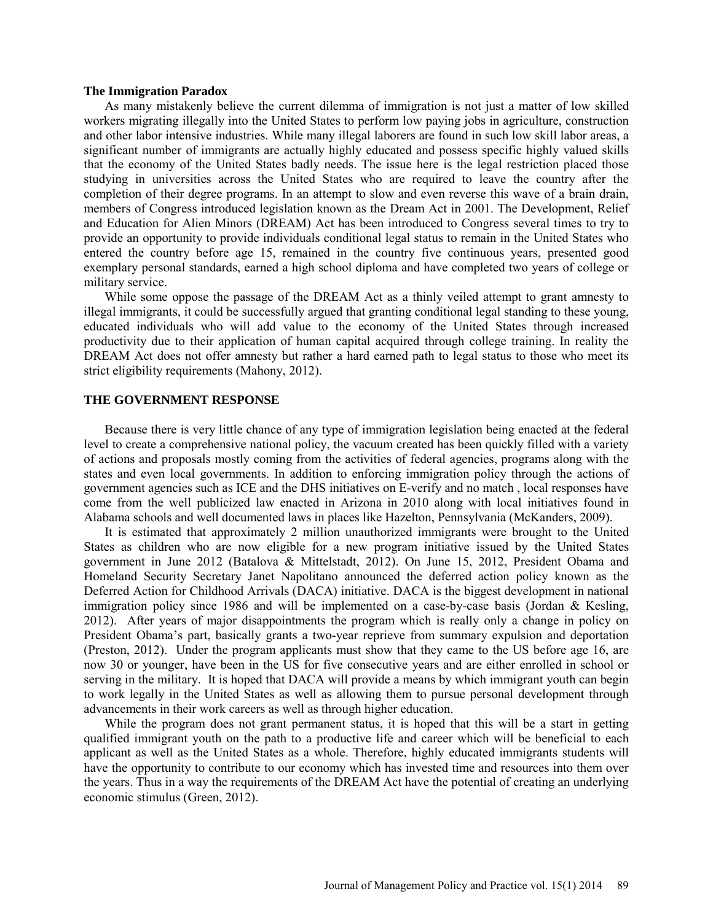#### **The Immigration Paradox**

As many mistakenly believe the current dilemma of immigration is not just a matter of low skilled workers migrating illegally into the United States to perform low paying jobs in agriculture, construction and other labor intensive industries. While many illegal laborers are found in such low skill labor areas, a significant number of immigrants are actually highly educated and possess specific highly valued skills that the economy of the United States badly needs. The issue here is the legal restriction placed those studying in universities across the United States who are required to leave the country after the completion of their degree programs. In an attempt to slow and even reverse this wave of a brain drain, members of Congress introduced legislation known as the Dream Act in 2001. The Development, Relief and Education for Alien Minors (DREAM) Act has been introduced to Congress several times to try to provide an opportunity to provide individuals conditional legal status to remain in the United States who entered the country before age 15, remained in the country five continuous years, presented good exemplary personal standards, earned a high school diploma and have completed two years of college or military service.

While some oppose the passage of the DREAM Act as a thinly veiled attempt to grant amnesty to illegal immigrants, it could be successfully argued that granting conditional legal standing to these young, educated individuals who will add value to the economy of the United States through increased productivity due to their application of human capital acquired through college training. In reality the DREAM Act does not offer amnesty but rather a hard earned path to legal status to those who meet its strict eligibility requirements (Mahony, 2012).

#### **THE GOVERNMENT RESPONSE**

Because there is very little chance of any type of immigration legislation being enacted at the federal level to create a comprehensive national policy, the vacuum created has been quickly filled with a variety of actions and proposals mostly coming from the activities of federal agencies, programs along with the states and even local governments. In addition to enforcing immigration policy through the actions of government agencies such as ICE and the DHS initiatives on E-verify and no match , local responses have come from the well publicized law enacted in Arizona in 2010 along with local initiatives found in Alabama schools and well documented laws in places like Hazelton, Pennsylvania (McKanders, 2009).

It is estimated that approximately 2 million unauthorized immigrants were brought to the United States as children who are now eligible for a new program initiative issued by the United States government in June 2012 (Batalova & Mittelstadt, 2012). On June 15, 2012, President Obama and Homeland Security Secretary Janet Napolitano announced the deferred action policy known as the Deferred Action for Childhood Arrivals (DACA) initiative. DACA is the biggest development in national immigration policy since 1986 and will be implemented on a case-by-case basis (Jordan & Kesling, 2012). After years of major disappointments the program which is really only a change in policy on President Obama's part, basically grants a two-year reprieve from summary expulsion and deportation (Preston, 2012). Under the program applicants must show that they came to the US before age 16, are now 30 or younger, have been in the US for five consecutive years and are either enrolled in school or serving in the military. It is hoped that DACA will provide a means by which immigrant youth can begin to work legally in the United States as well as allowing them to pursue personal development through advancements in their work careers as well as through higher education.

While the program does not grant permanent status, it is hoped that this will be a start in getting qualified immigrant youth on the path to a productive life and career which will be beneficial to each applicant as well as the United States as a whole. Therefore, highly educated immigrants students will have the opportunity to contribute to our economy which has invested time and resources into them over the years. Thus in a way the requirements of the DREAM Act have the potential of creating an underlying economic stimulus (Green, 2012).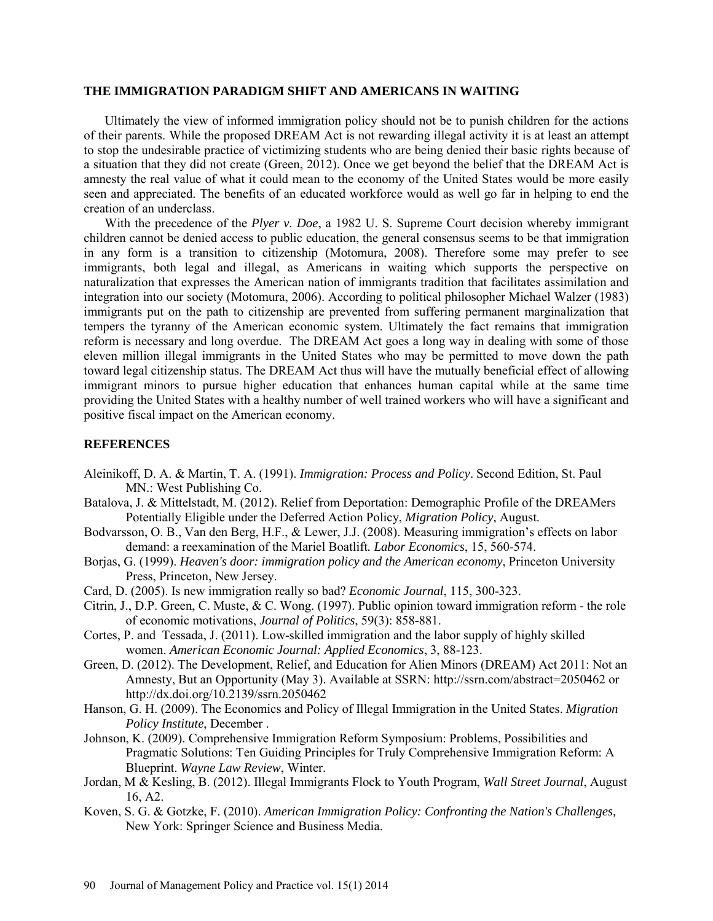#### **THE IMMIGRATION PARADIGM SHIFT AND AMERICANS IN WAITING**

Ultimately the view of informed immigration policy should not be to punish children for the actions of their parents. While the proposed DREAM Act is not rewarding illegal activity it is at least an attempt to stop the undesirable practice of victimizing students who are being denied their basic rights because of a situation that they did not create (Green, 2012). Once we get beyond the belief that the DREAM Act is amnesty the real value of what it could mean to the economy of the United States would be more easily seen and appreciated. The benefits of an educated workforce would as well go far in helping to end the creation of an underclass.

With the precedence of the *Plyer v. Doe*, a 1982 U. S. Supreme Court decision whereby immigrant children cannot be denied access to public education, the general consensus seems to be that immigration in any form is a transition to citizenship (Motomura, 2008). Therefore some may prefer to see immigrants, both legal and illegal, as Americans in waiting which supports the perspective on naturalization that expresses the American nation of immigrants tradition that facilitates assimilation and integration into our society (Motomura, 2006). According to political philosopher Michael Walzer (1983) immigrants put on the path to citizenship are prevented from suffering permanent marginalization that tempers the tyranny of the American economic system. Ultimately the fact remains that immigration reform is necessary and long overdue. The DREAM Act goes a long way in dealing with some of those eleven million illegal immigrants in the United States who may be permitted to move down the path toward legal citizenship status. The DREAM Act thus will have the mutually beneficial effect of allowing immigrant minors to pursue higher education that enhances human capital while at the same time providing the United States with a healthy number of well trained workers who will have a significant and positive fiscal impact on the American economy.

#### **REFERENCES**

- Aleinikoff, D. A. & Martin, T. A. (1991). *Immigration: Process and Policy*. Second Edition, St. Paul MN.: West Publishing Co.
- Batalova, J. & Mittelstadt, M. (2012). Relief from Deportation: Demographic Profile of the DREAMers Potentially Eligible under the Deferred Action Policy, *Migration Policy*, August.
- Bodvarsson, O. B., Van den Berg, H.F., & Lewer, J.J. (2008). Measuring immigration's effects on labor demand: a reexamination of the Mariel Boatlift*. Labor Economics*, 15, 560-574.
- Borjas, G. (1999). *Heaven's door: immigration policy and the American economy*, Princeton University Press, Princeton, New Jersey.
- Card, D. (2005). Is new immigration really so bad? *Economic Journal*, 115, 300-323.
- Citrin, J., D.P. Green, C. Muste, & C. Wong. (1997). Public opinion toward immigration reform the role of economic motivations, *Journal of Politics*, 59(3): 858-881.
- Cortes, P. and Tessada, J. (2011). Low-skilled immigration and the labor supply of highly skilled women. *American Economic Journal: Applied Economics*, 3, 88-123.
- Green, D. (2012). The Development, Relief, and Education for Alien Minors (DREAM) Act 2011: Not an Amnesty, But an Opportunity (May 3). Available at SSRN: http://ssrn.com/abstract=2050462 or http://dx.doi.org/10.2139/ssrn.2050462
- Hanson, G. H. (2009). The Economics and Policy of Illegal Immigration in the United States. *Migration Policy Institute*, December .
- Johnson, K. (2009). Comprehensive Immigration Reform Symposium: Problems, Possibilities and Pragmatic Solutions: Ten Guiding Principles for Truly Comprehensive Immigration Reform: A Blueprint. *Wayne Law Review*, Winter.
- Jordan, M & Kesling, B. (2012). Illegal Immigrants Flock to Youth Program, *Wall Street Journal*, August 16, A2.
- Koven, S. G. & Gotzke, F. (2010). *American Immigration Policy: Confronting the Nation's Challenges,*  New York: Springer Science and Business Media.